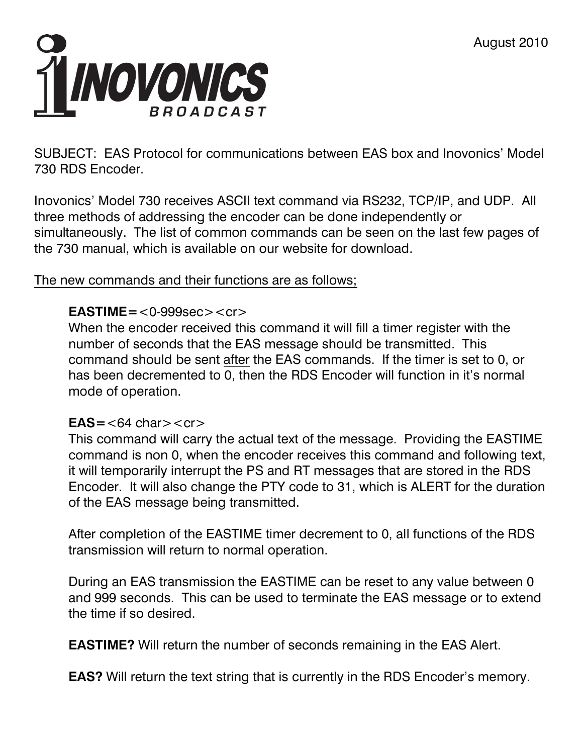

SUBJECT: EAS Protocol for communications between EAS box and Inovonics' Model 730 RDS Encoder.

Inovonics' Model 730 receives ASCII text command via RS232, TCP/IP, and UDP. All three methods of addressing the encoder can be done independently or simultaneously. The list of common commands can be seen on the last few pages of the 730 manual, which is available on our website for download.

## The new commands and their functions are as follows;

## **EASTIME=**<0-999sec><cr>

When the encoder received this command it will fill a timer register with the number of seconds that the EAS message should be transmitted. This command should be sent after the EAS commands. If the timer is set to 0, or has been decremented to 0, then the RDS Encoder will function in it's normal mode of operation.

## $EAS = < 64 \text{ char} > < cr>$

This command will carry the actual text of the message. Providing the EASTIME command is non 0, when the encoder receives this command and following text, it will temporarily interrupt the PS and RT messages that are stored in the RDS Encoder. It will also change the PTY code to 31, which is ALERT for the duration of the EAS message being transmitted.

After completion of the EASTIME timer decrement to 0, all functions of the RDS transmission will return to normal operation.

During an EAS transmission the EASTIME can be reset to any value between 0 and 999 seconds. This can be used to terminate the EAS message or to extend the time if so desired.

**EASTIME?** Will return the number of seconds remaining in the EAS Alert.

**EAS?** Will return the text string that is currently in the RDS Encoder's memory.